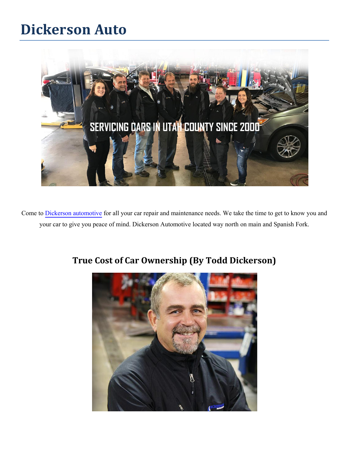## **Dickerson Auto**



Come to [Dickerson automotive](https://www.dickersonauto.com/) for all your car repair and maintenance needs. We take the time to get to know you and your car to give you peace of mind. Dickerson Automotive located way north on main and Spanish Fork.



## **True Cost of Car Ownership (By Todd Dickerson)**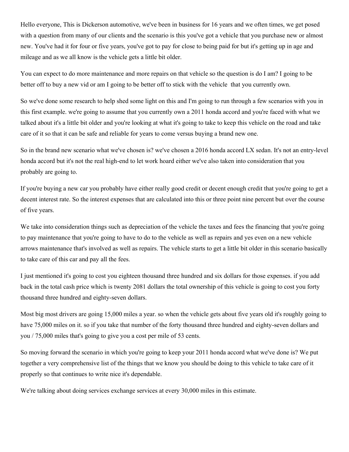Hello everyone, This is Dickerson automotive, we've been in business for 16 years and we often times, we get posed with a question from many of our clients and the scenario is this you've got a vehicle that you purchase new or almost new. You've had it for four or five years, you've got to pay for close to being paid for but it's getting up in age and mileage and as we all know is the vehicle gets a little bit older.

You can expect to do more maintenance and more repairs on that vehicle so the question is do I am? I going to be better off to buy a new vid or am I going to be better off to stick with the vehicle that you currently own.

So we've done some research to help shed some light on this and I'm going to run through a few scenarios with you in this first example. we're going to assume that you currently own a 2011 honda accord and you're faced with what we talked about it's a little bit older and you're looking at what it's going to take to keep this vehicle on the road and take care of it so that it can be safe and reliable for years to come versus buying a brand new one.

So in the brand new scenario what we've chosen is? we've chosen a 2016 honda accord LX sedan. It's not an entry-level honda accord but it's not the real high-end to let work hoard either we've also taken into consideration that you probably are going to.

If you're buying a new car you probably have either really good credit or decent enough credit that you're going to get a decent interest rate. So the interest expenses that are calculated into this or three point nine percent but over the course of five years.

We take into consideration things such as depreciation of the vehicle the taxes and fees the financing that you're going to pay maintenance that you're going to have to do to the vehicle as well as repairs and yes even on a new vehicle arrows maintenance that's involved as well as repairs. The vehicle starts to get a little bit older in this scenario basically to take care of this car and pay all the fees.

I just mentioned it's going to cost you eighteen thousand three hundred and six dollars for those expenses. if you add back in the total cash price which is twenty 2081 dollars the total ownership of this vehicle is going to cost you forty thousand three hundred and eighty-seven dollars.

Most big most drivers are going 15,000 miles a year. so when the vehicle gets about five years old it's roughly going to have 75,000 miles on it. so if you take that number of the forty thousand three hundred and eighty-seven dollars and you / 75,000 miles that's going to give you a cost per mile of 53 cents.

So moving forward the scenario in which you're going to keep your 2011 honda accord what we've done is? We put together a very comprehensive list of the things that we know you should be doing to this vehicle to take care of it properly so that continues to write nice it's dependable.

We're talking about doing services exchange services at every 30,000 miles in this estimate.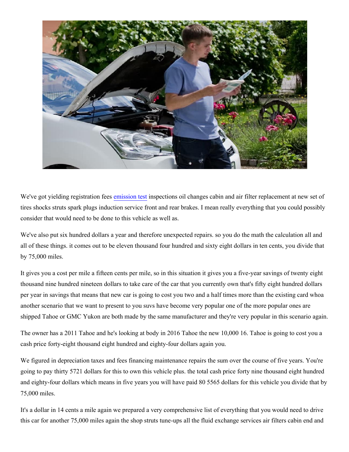

We've got yielding registration fees [emission test](https://www.dickersonauto.com/emission-testing/) inspections oil changes cabin and air filter replacement at new set of tires shocks struts spark plugs induction service front and rear brakes. I mean really everything that you could possibly consider that would need to be done to this vehicle as well as.

We've also put six hundred dollars a year and therefore unexpected repairs. so you do the math the calculation all and all of these things. it comes out to be eleven thousand four hundred and sixty eight dollars in ten cents, you divide that by 75,000 miles.

It gives you a cost per mile a fifteen cents per mile, so in this situation it gives you a five-year savings of twenty eight thousand nine hundred nineteen dollars to take care of the car that you currently own that's fifty eight hundred dollars per year in savings that means that new car is going to cost you two and a half times more than the existing card whoa another scenario that we want to present to you suvs have become very popular one of the more popular ones are shipped Tahoe or GMC Yukon are both made by the same manufacturer and they're very popular in this scenario again.

The owner has a 2011 Tahoe and he's looking at body in 2016 Tahoe the new 10,000 16. Tahoe is going to cost you a cash price forty-eight thousand eight hundred and eighty-four dollars again you.

We figured in depreciation taxes and fees financing maintenance repairs the sum over the course of five years. You're going to pay thirty 5721 dollars for this to own this vehicle plus. the total cash price forty nine thousand eight hundred and eighty-four dollars which means in five years you will have paid 80 5565 dollars for this vehicle you divide that by 75,000 miles.

It's a dollar in 14 cents a mile again we prepared a very comprehensive list of everything that you would need to drive this car for another 75,000 miles again the shop struts tune-ups all the fluid exchange services air filters cabin end and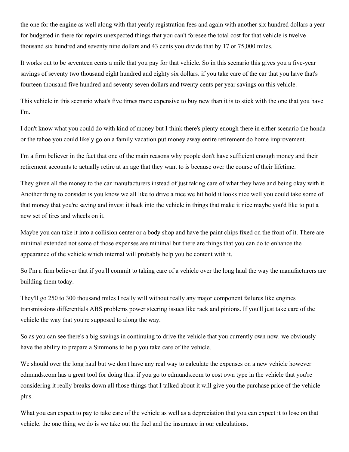the one for the engine as well along with that yearly registration fees and again with another six hundred dollars a year for budgeted in there for repairs unexpected things that you can't foresee the total cost for that vehicle is twelve thousand six hundred and seventy nine dollars and 43 cents you divide that by 17 or 75,000 miles.

It works out to be seventeen cents a mile that you pay for that vehicle. So in this scenario this gives you a five-year savings of seventy two thousand eight hundred and eighty six dollars. if you take care of the car that you have that's fourteen thousand five hundred and seventy seven dollars and twenty cents per year savings on this vehicle.

This vehicle in this scenario what's five times more expensive to buy new than it is to stick with the one that you have I'm.

I don't know what you could do with kind of money but I think there's plenty enough there in either scenario the honda or the tahoe you could likely go on a family vacation put money away entire retirement do home improvement.

I'm a firm believer in the fact that one of the main reasons why people don't have sufficient enough money and their retirement accounts to actually retire at an age that they want to is because over the course of their lifetime.

They given all the money to the car manufacturers instead of just taking care of what they have and being okay with it. Another thing to consider is you know we all like to drive a nice we hit hold it looks nice well you could take some of that money that you're saving and invest it back into the vehicle in things that make it nice maybe you'd like to put a new set of tires and wheels on it.

Maybe you can take it into a collision center or a body shop and have the paint chips fixed on the front of it. There are minimal extended not some of those expenses are minimal but there are things that you can do to enhance the appearance of the vehicle which internal will probably help you be content with it.

So I'm a firm believer that if you'll commit to taking care of a vehicle over the long haul the way the manufacturers are building them today.

They'll go 250 to 300 thousand miles I really will without really any major component failures like engines transmissions differentials ABS problems power steering issues like rack and pinions. If you'll just take care of the vehicle the way that you're supposed to along the way.

So as you can see there's a big savings in continuing to drive the vehicle that you currently own now. we obviously have the ability to prepare a Simmons to help you take care of the vehicle.

We should over the long haul but we don't have any real way to calculate the expenses on a new vehicle however edmunds.com has a great tool for doing this. if you go to edmunds.com to cost own type in the vehicle that you're considering it really breaks down all those things that I talked about it will give you the purchase price of the vehicle plus.

What you can expect to pay to take care of the vehicle as well as a depreciation that you can expect it to lose on that vehicle. the one thing we do is we take out the fuel and the insurance in our calculations.